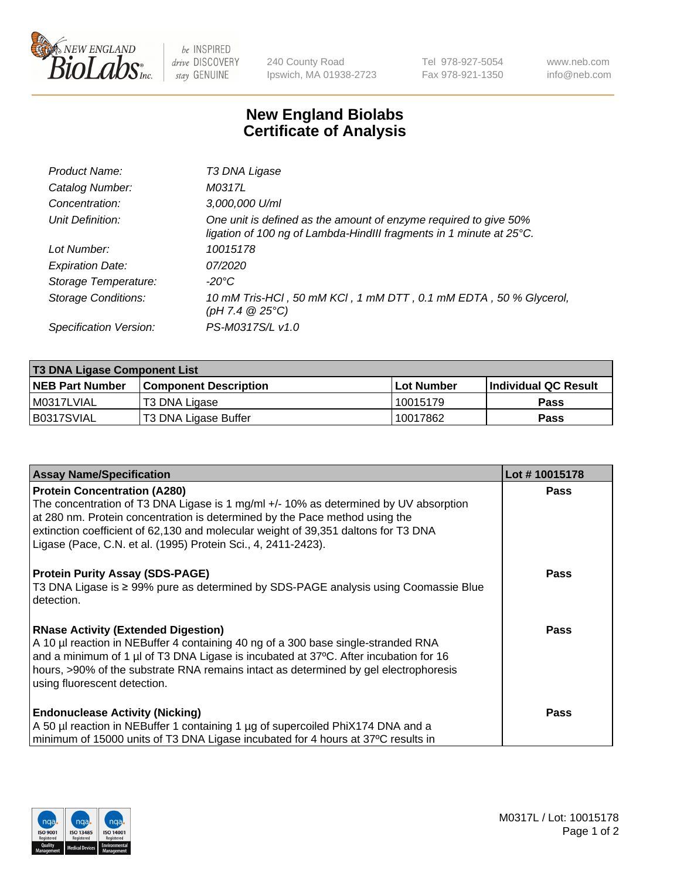

 $be$  INSPIRED drive DISCOVERY stay GENUINE

240 County Road Ipswich, MA 01938-2723 Tel 978-927-5054 Fax 978-921-1350 www.neb.com info@neb.com

## **New England Biolabs Certificate of Analysis**

| Product Name:              | T3 DNA Ligase                                                                                                                           |
|----------------------------|-----------------------------------------------------------------------------------------------------------------------------------------|
| Catalog Number:            | M0317L                                                                                                                                  |
| Concentration:             | 3,000,000 U/ml                                                                                                                          |
| Unit Definition:           | One unit is defined as the amount of enzyme required to give 50%<br>ligation of 100 ng of Lambda-HindIII fragments in 1 minute at 25°C. |
| Lot Number:                | 10015178                                                                                                                                |
| <b>Expiration Date:</b>    | 07/2020                                                                                                                                 |
| Storage Temperature:       | $-20^{\circ}$ C                                                                                                                         |
| <b>Storage Conditions:</b> | 10 mM Tris-HCl, 50 mM KCl, 1 mM DTT, 0.1 mM EDTA, 50 % Glycerol,<br>$(pH 7.4 \ @ 25^{\circ}C)$                                          |
| Specification Version:     | PS-M0317S/L v1.0                                                                                                                        |

| <b>T3 DNA Ligase Component List</b> |                              |              |                      |  |  |
|-------------------------------------|------------------------------|--------------|----------------------|--|--|
| <b>NEB Part Number</b>              | <b>Component Description</b> | l Lot Number | Individual QC Result |  |  |
| M0317LVIAL                          | T3 DNA Ligase                | l 10015179   | <b>Pass</b>          |  |  |
| B0317SVIAL                          | T3 DNA Ligase Buffer         | 10017862     | Pass                 |  |  |

| <b>Assay Name/Specification</b>                                                                                                                                                                                                                                                                                                                                   | Lot #10015178 |
|-------------------------------------------------------------------------------------------------------------------------------------------------------------------------------------------------------------------------------------------------------------------------------------------------------------------------------------------------------------------|---------------|
| <b>Protein Concentration (A280)</b><br>The concentration of T3 DNA Ligase is 1 mg/ml +/- 10% as determined by UV absorption<br>at 280 nm. Protein concentration is determined by the Pace method using the<br>extinction coefficient of 62,130 and molecular weight of 39,351 daltons for T3 DNA<br>Ligase (Pace, C.N. et al. (1995) Protein Sci., 4, 2411-2423). | <b>Pass</b>   |
| <b>Protein Purity Assay (SDS-PAGE)</b><br>T3 DNA Ligase is ≥ 99% pure as determined by SDS-PAGE analysis using Coomassie Blue<br>I detection.                                                                                                                                                                                                                     | <b>Pass</b>   |
| <b>RNase Activity (Extended Digestion)</b><br>A 10 µl reaction in NEBuffer 4 containing 40 ng of a 300 base single-stranded RNA<br>and a minimum of 1 µl of T3 DNA Ligase is incubated at 37°C. After incubation for 16<br>hours, >90% of the substrate RNA remains intact as determined by gel electrophoresis<br>using fluorescent detection.                   | Pass          |
| <b>Endonuclease Activity (Nicking)</b><br>A 50 µl reaction in NEBuffer 1 containing 1 µg of supercoiled PhiX174 DNA and a<br>minimum of 15000 units of T3 DNA Ligase incubated for 4 hours at 37°C results in                                                                                                                                                     | Pass          |